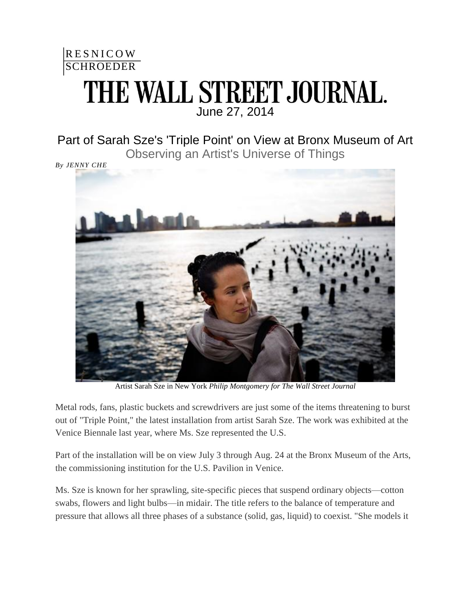## **RESNICOW SCHROEDER** THE WALL STREET JOURNAL. June 27, 2014

## Part of Sarah Sze's 'Triple Point' on View at Bronx Museum of Art Observing an Artist's Universe of Things

*By JENNY CHE*



Artist Sarah Sze in New York *Philip Montgomery for The Wall Street Journal*

Metal rods, fans, plastic buckets and screwdrivers are just some of the items threatening to burst out of "Triple Point," the latest installation from artist Sarah Sze. The work was exhibited at the Venice Biennale last year, where Ms. Sze represented the U.S.

Part of the installation will be on view July 3 through Aug. 24 at the Bronx Museum of the Arts, the commissioning institution for the U.S. Pavilion in Venice.

Ms. Sze is known for her sprawling, site-specific pieces that suspend ordinary objects—cotton swabs, flowers and light bulbs—in midair. The title refers to the balance of temperature and pressure that allows all three phases of a substance (solid, gas, liquid) to coexist. "She models it